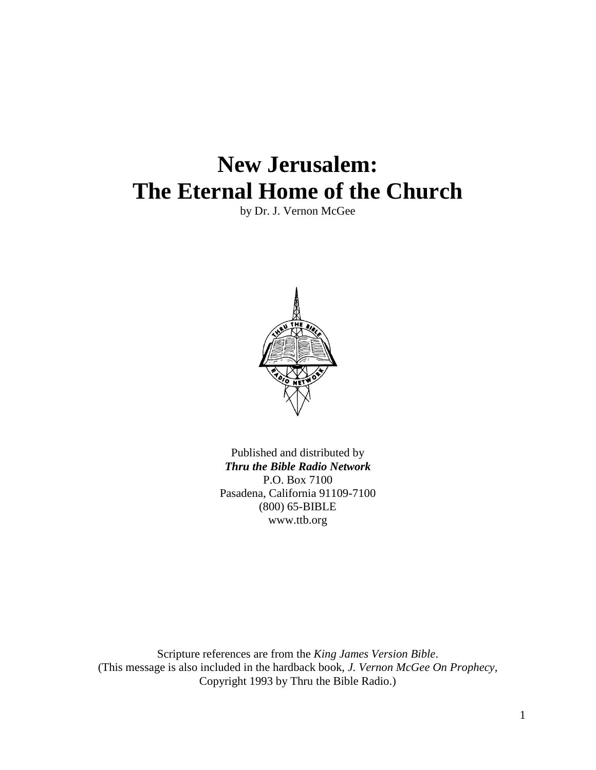# **New Jerusalem: The Eternal Home of the Church**

by Dr. J. Vernon McGee



Published and distributed by *Thru the Bible Radio Network* P.O. Box 7100 Pasadena, California 91109-7100 (800) 65-BIBLE www.ttb.org

Scripture references are from the *King James Version Bible*. (This message is also included in the hardback book, *J. Vernon McGee On Prophecy*, Copyright 1993 by Thru the Bible Radio.)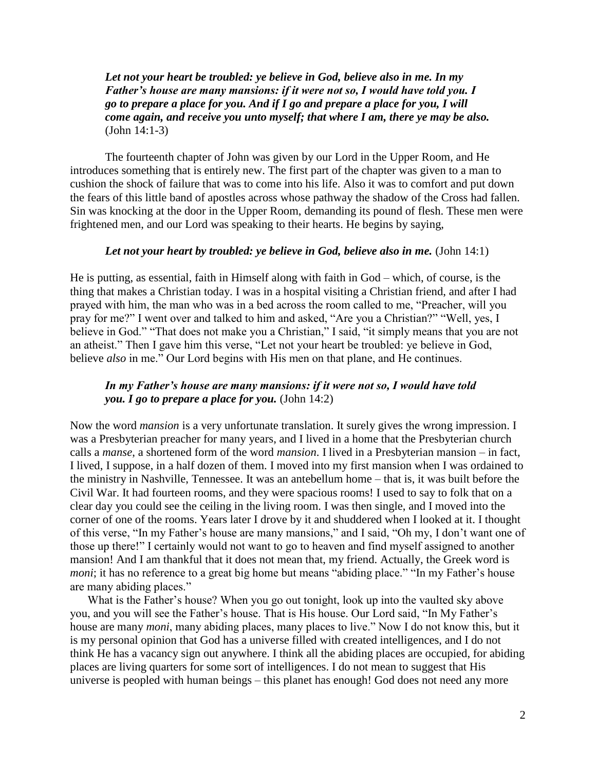*Let not your heart be troubled: ye believe in God, believe also in me. In my Father's house are many mansions: if it were not so, I would have told you. I go to prepare a place for you. And if I go and prepare a place for you, I will come again, and receive you unto myself; that where I am, there ye may be also.* (John 14:1-3)

The fourteenth chapter of John was given by our Lord in the Upper Room, and He introduces something that is entirely new. The first part of the chapter was given to a man to cushion the shock of failure that was to come into his life. Also it was to comfort and put down the fears of this little band of apostles across whose pathway the shadow of the Cross had fallen. Sin was knocking at the door in the Upper Room, demanding its pound of flesh. These men were frightened men, and our Lord was speaking to their hearts. He begins by saying,

#### *Let not your heart by troubled: ye believe in God, believe also in me.* (John 14:1)

He is putting, as essential, faith in Himself along with faith in God – which, of course, is the thing that makes a Christian today. I was in a hospital visiting a Christian friend, and after I had prayed with him, the man who was in a bed across the room called to me, "Preacher, will you pray for me?" I went over and talked to him and asked, "Are you a Christian?" "Well, yes, I believe in God." "That does not make you a Christian," I said, "it simply means that you are not an atheist." Then I gave him this verse, "Let not your heart be troubled: ye believe in God, believe *also* in me." Our Lord begins with His men on that plane, and He continues.

# *In my Father's house are many mansions: if it were not so, I would have told you. I go to prepare a place for you.* (John 14:2)

Now the word *mansion* is a very unfortunate translation. It surely gives the wrong impression. I was a Presbyterian preacher for many years, and I lived in a home that the Presbyterian church calls a *manse*, a shortened form of the word *mansion*. I lived in a Presbyterian mansion – in fact, I lived, I suppose, in a half dozen of them. I moved into my first mansion when I was ordained to the ministry in Nashville, Tennessee. It was an antebellum home – that is, it was built before the Civil War. It had fourteen rooms, and they were spacious rooms! I used to say to folk that on a clear day you could see the ceiling in the living room. I was then single, and I moved into the corner of one of the rooms. Years later I drove by it and shuddered when I looked at it. I thought of this verse, "In my Father"s house are many mansions," and I said, "Oh my, I don"t want one of those up there!" I certainly would not want to go to heaven and find myself assigned to another mansion! And I am thankful that it does not mean that, my friend. Actually, the Greek word is *moni*; it has no reference to a great big home but means "abiding place." "In my Father's house are many abiding places."

What is the Father's house? When you go out tonight, look up into the vaulted sky above you, and you will see the Father"s house. That is His house. Our Lord said, "In My Father"s house are many *moni*, many abiding places, many places to live." Now I do not know this, but it is my personal opinion that God has a universe filled with created intelligences, and I do not think He has a vacancy sign out anywhere. I think all the abiding places are occupied, for abiding places are living quarters for some sort of intelligences. I do not mean to suggest that His universe is peopled with human beings – this planet has enough! God does not need any more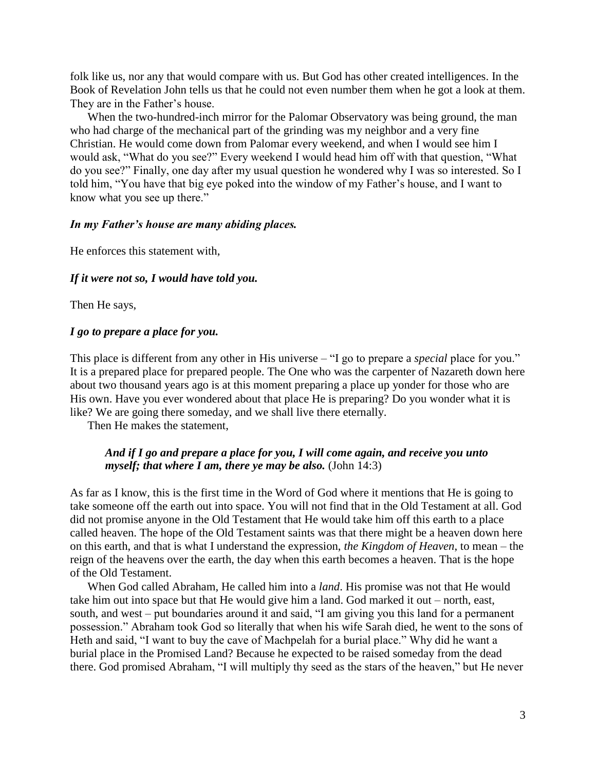folk like us, nor any that would compare with us. But God has other created intelligences. In the Book of Revelation John tells us that he could not even number them when he got a look at them. They are in the Father's house.

When the two-hundred-inch mirror for the Palomar Observatory was being ground, the man who had charge of the mechanical part of the grinding was my neighbor and a very fine Christian. He would come down from Palomar every weekend, and when I would see him I would ask, "What do you see?" Every weekend I would head him off with that question, "What do you see?" Finally, one day after my usual question he wondered why I was so interested. So I told him, "You have that big eye poked into the window of my Father"s house, and I want to know what you see up there."

#### *In my Father's house are many abiding places.*

He enforces this statement with,

#### *If it were not so, I would have told you.*

Then He says,

#### *I go to prepare a place for you.*

This place is different from any other in His universe – "I go to prepare a *special* place for you." It is a prepared place for prepared people. The One who was the carpenter of Nazareth down here about two thousand years ago is at this moment preparing a place up yonder for those who are His own. Have you ever wondered about that place He is preparing? Do you wonder what it is like? We are going there someday, and we shall live there eternally.

Then He makes the statement,

# *And if I go and prepare a place for you, I will come again, and receive you unto myself; that where I am, there ye may be also.* (John 14:3)

As far as I know, this is the first time in the Word of God where it mentions that He is going to take someone off the earth out into space. You will not find that in the Old Testament at all. God did not promise anyone in the Old Testament that He would take him off this earth to a place called heaven. The hope of the Old Testament saints was that there might be a heaven down here on this earth, and that is what I understand the expression, *the Kingdom of Heaven*, to mean – the reign of the heavens over the earth, the day when this earth becomes a heaven. That is the hope of the Old Testament.

When God called Abraham, He called him into a *land*. His promise was not that He would take him out into space but that He would give him a land. God marked it out – north, east, south, and west – put boundaries around it and said, "I am giving you this land for a permanent possession." Abraham took God so literally that when his wife Sarah died, he went to the sons of Heth and said, "I want to buy the cave of Machpelah for a burial place." Why did he want a burial place in the Promised Land? Because he expected to be raised someday from the dead there. God promised Abraham, "I will multiply thy seed as the stars of the heaven," but He never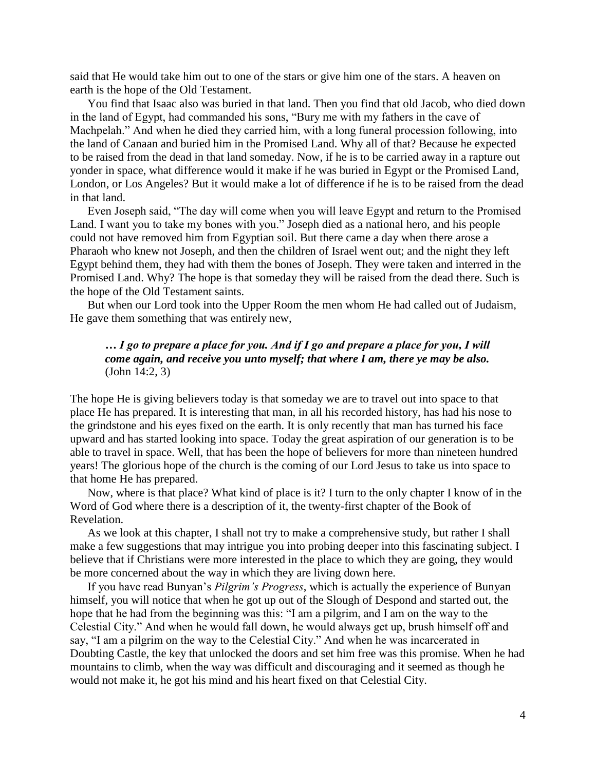said that He would take him out to one of the stars or give him one of the stars. A heaven on earth is the hope of the Old Testament.

You find that Isaac also was buried in that land. Then you find that old Jacob, who died down in the land of Egypt, had commanded his sons, "Bury me with my fathers in the cave of Machpelah." And when he died they carried him, with a long funeral procession following, into the land of Canaan and buried him in the Promised Land. Why all of that? Because he expected to be raised from the dead in that land someday. Now, if he is to be carried away in a rapture out yonder in space, what difference would it make if he was buried in Egypt or the Promised Land, London, or Los Angeles? But it would make a lot of difference if he is to be raised from the dead in that land.

Even Joseph said, "The day will come when you will leave Egypt and return to the Promised Land. I want you to take my bones with you." Joseph died as a national hero, and his people could not have removed him from Egyptian soil. But there came a day when there arose a Pharaoh who knew not Joseph, and then the children of Israel went out; and the night they left Egypt behind them, they had with them the bones of Joseph. They were taken and interred in the Promised Land. Why? The hope is that someday they will be raised from the dead there. Such is the hope of the Old Testament saints.

But when our Lord took into the Upper Room the men whom He had called out of Judaism, He gave them something that was entirely new,

# *… I go to prepare a place for you. And if I go and prepare a place for you, I will come again, and receive you unto myself; that where I am, there ye may be also.* (John 14:2, 3)

The hope He is giving believers today is that someday we are to travel out into space to that place He has prepared. It is interesting that man, in all his recorded history, has had his nose to the grindstone and his eyes fixed on the earth. It is only recently that man has turned his face upward and has started looking into space. Today the great aspiration of our generation is to be able to travel in space. Well, that has been the hope of believers for more than nineteen hundred years! The glorious hope of the church is the coming of our Lord Jesus to take us into space to that home He has prepared.

Now, where is that place? What kind of place is it? I turn to the only chapter I know of in the Word of God where there is a description of it, the twenty-first chapter of the Book of Revelation.

As we look at this chapter, I shall not try to make a comprehensive study, but rather I shall make a few suggestions that may intrigue you into probing deeper into this fascinating subject. I believe that if Christians were more interested in the place to which they are going, they would be more concerned about the way in which they are living down here.

If you have read Bunyan"s *Pilgrim's Progress*, which is actually the experience of Bunyan himself, you will notice that when he got up out of the Slough of Despond and started out, the hope that he had from the beginning was this: "I am a pilgrim, and I am on the way to the Celestial City." And when he would fall down, he would always get up, brush himself off and say, "I am a pilgrim on the way to the Celestial City." And when he was incarcerated in Doubting Castle, the key that unlocked the doors and set him free was this promise. When he had mountains to climb, when the way was difficult and discouraging and it seemed as though he would not make it, he got his mind and his heart fixed on that Celestial City.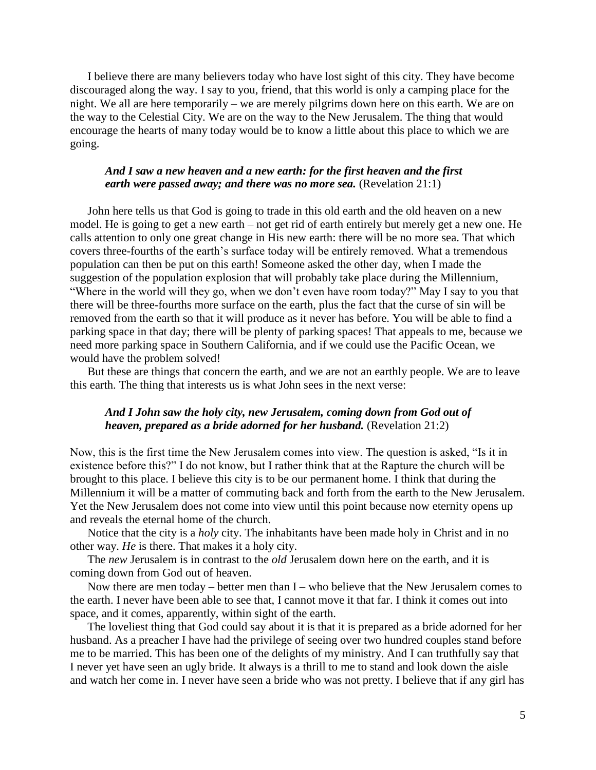I believe there are many believers today who have lost sight of this city. They have become discouraged along the way. I say to you, friend, that this world is only a camping place for the night. We all are here temporarily – we are merely pilgrims down here on this earth. We are on the way to the Celestial City. We are on the way to the New Jerusalem. The thing that would encourage the hearts of many today would be to know a little about this place to which we are going.

# *And I saw a new heaven and a new earth: for the first heaven and the first earth were passed away; and there was no more sea.* (Revelation 21:1)

John here tells us that God is going to trade in this old earth and the old heaven on a new model. He is going to get a new earth – not get rid of earth entirely but merely get a new one. He calls attention to only one great change in His new earth: there will be no more sea. That which covers three-fourths of the earth"s surface today will be entirely removed. What a tremendous population can then be put on this earth! Someone asked the other day, when I made the suggestion of the population explosion that will probably take place during the Millennium, "Where in the world will they go, when we don"t even have room today?" May I say to you that there will be three-fourths more surface on the earth, plus the fact that the curse of sin will be removed from the earth so that it will produce as it never has before. You will be able to find a parking space in that day; there will be plenty of parking spaces! That appeals to me, because we need more parking space in Southern California, and if we could use the Pacific Ocean, we would have the problem solved!

But these are things that concern the earth, and we are not an earthly people. We are to leave this earth. The thing that interests us is what John sees in the next verse:

## *And I John saw the holy city, new Jerusalem, coming down from God out of heaven, prepared as a bride adorned for her husband.* (Revelation 21:2)

Now, this is the first time the New Jerusalem comes into view. The question is asked, "Is it in existence before this?" I do not know, but I rather think that at the Rapture the church will be brought to this place. I believe this city is to be our permanent home. I think that during the Millennium it will be a matter of commuting back and forth from the earth to the New Jerusalem. Yet the New Jerusalem does not come into view until this point because now eternity opens up and reveals the eternal home of the church.

Notice that the city is a *holy* city. The inhabitants have been made holy in Christ and in no other way. *He* is there. That makes it a holy city.

The *new* Jerusalem is in contrast to the *old* Jerusalem down here on the earth, and it is coming down from God out of heaven.

Now there are men today – better men than  $I$  – who believe that the New Jerusalem comes to the earth. I never have been able to see that, I cannot move it that far. I think it comes out into space, and it comes, apparently, within sight of the earth.

The loveliest thing that God could say about it is that it is prepared as a bride adorned for her husband. As a preacher I have had the privilege of seeing over two hundred couples stand before me to be married. This has been one of the delights of my ministry. And I can truthfully say that I never yet have seen an ugly bride. It always is a thrill to me to stand and look down the aisle and watch her come in. I never have seen a bride who was not pretty. I believe that if any girl has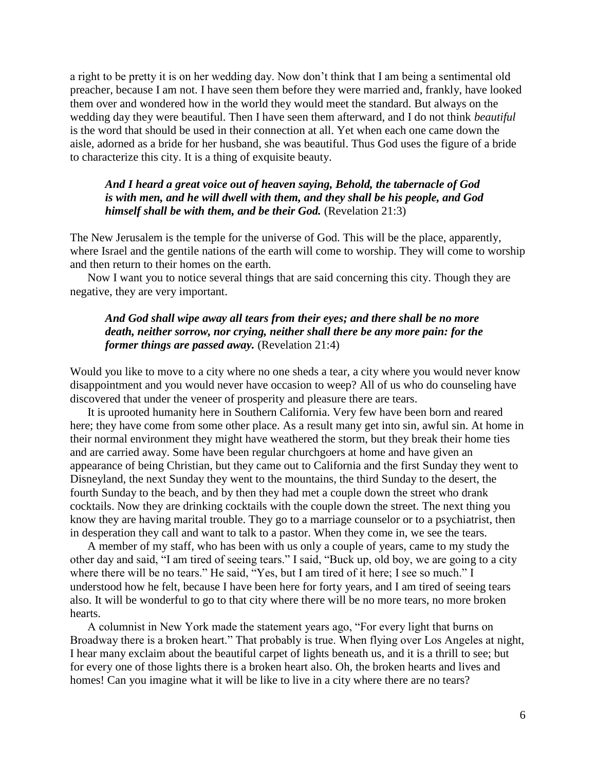a right to be pretty it is on her wedding day. Now don"t think that I am being a sentimental old preacher, because I am not. I have seen them before they were married and, frankly, have looked them over and wondered how in the world they would meet the standard. But always on the wedding day they were beautiful. Then I have seen them afterward, and I do not think *beautiful* is the word that should be used in their connection at all. Yet when each one came down the aisle, adorned as a bride for her husband, she was beautiful. Thus God uses the figure of a bride to characterize this city. It is a thing of exquisite beauty.

# *And I heard a great voice out of heaven saying, Behold, the tabernacle of God is with men, and he will dwell with them, and they shall be his people, and God himself shall be with them, and be their God.* (Revelation 21:3)

The New Jerusalem is the temple for the universe of God. This will be the place, apparently, where Israel and the gentile nations of the earth will come to worship. They will come to worship and then return to their homes on the earth.

Now I want you to notice several things that are said concerning this city. Though they are negative, they are very important.

# *And God shall wipe away all tears from their eyes; and there shall be no more death, neither sorrow, nor crying, neither shall there be any more pain: for the former things are passed away.* (Revelation 21:4)

Would you like to move to a city where no one sheds a tear, a city where you would never know disappointment and you would never have occasion to weep? All of us who do counseling have discovered that under the veneer of prosperity and pleasure there are tears.

It is uprooted humanity here in Southern California. Very few have been born and reared here; they have come from some other place. As a result many get into sin, awful sin. At home in their normal environment they might have weathered the storm, but they break their home ties and are carried away. Some have been regular churchgoers at home and have given an appearance of being Christian, but they came out to California and the first Sunday they went to Disneyland, the next Sunday they went to the mountains, the third Sunday to the desert, the fourth Sunday to the beach, and by then they had met a couple down the street who drank cocktails. Now they are drinking cocktails with the couple down the street. The next thing you know they are having marital trouble. They go to a marriage counselor or to a psychiatrist, then in desperation they call and want to talk to a pastor. When they come in, we see the tears.

A member of my staff, who has been with us only a couple of years, came to my study the other day and said, "I am tired of seeing tears." I said, "Buck up, old boy, we are going to a city where there will be no tears." He said, "Yes, but I am tired of it here; I see so much." I understood how he felt, because I have been here for forty years, and I am tired of seeing tears also. It will be wonderful to go to that city where there will be no more tears, no more broken hearts.

A columnist in New York made the statement years ago, "For every light that burns on Broadway there is a broken heart." That probably is true. When flying over Los Angeles at night, I hear many exclaim about the beautiful carpet of lights beneath us, and it is a thrill to see; but for every one of those lights there is a broken heart also. Oh, the broken hearts and lives and homes! Can you imagine what it will be like to live in a city where there are no tears?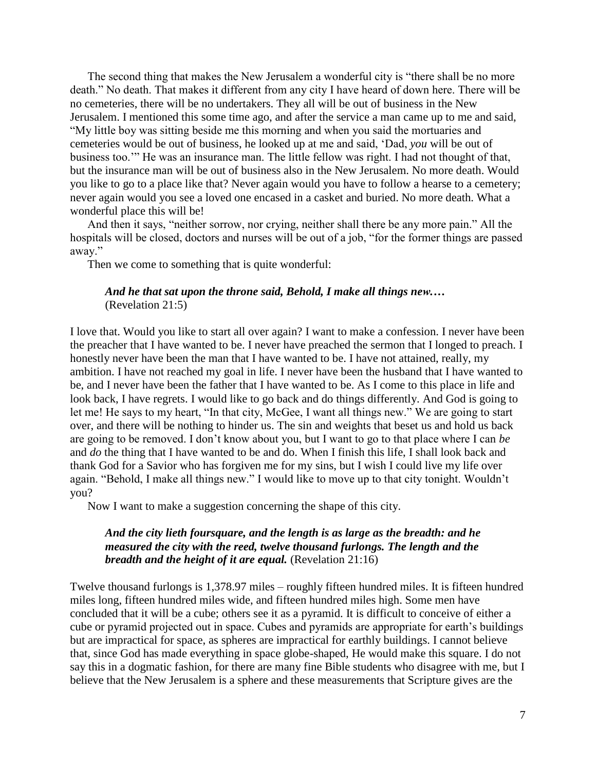The second thing that makes the New Jerusalem a wonderful city is "there shall be no more death." No death. That makes it different from any city I have heard of down here. There will be no cemeteries, there will be no undertakers. They all will be out of business in the New Jerusalem. I mentioned this some time ago, and after the service a man came up to me and said, "My little boy was sitting beside me this morning and when you said the mortuaries and cemeteries would be out of business, he looked up at me and said, "Dad, *you* will be out of business too."" He was an insurance man. The little fellow was right. I had not thought of that, but the insurance man will be out of business also in the New Jerusalem. No more death. Would you like to go to a place like that? Never again would you have to follow a hearse to a cemetery; never again would you see a loved one encased in a casket and buried. No more death. What a wonderful place this will be!

And then it says, "neither sorrow, nor crying, neither shall there be any more pain." All the hospitals will be closed, doctors and nurses will be out of a job, "for the former things are passed away."

Then we come to something that is quite wonderful:

## *And he that sat upon the throne said, Behold, I make all things new.…* (Revelation 21:5)

I love that. Would you like to start all over again? I want to make a confession. I never have been the preacher that I have wanted to be. I never have preached the sermon that I longed to preach. I honestly never have been the man that I have wanted to be. I have not attained, really, my ambition. I have not reached my goal in life. I never have been the husband that I have wanted to be, and I never have been the father that I have wanted to be. As I come to this place in life and look back, I have regrets. I would like to go back and do things differently. And God is going to let me! He says to my heart, "In that city, McGee, I want all things new." We are going to start over, and there will be nothing to hinder us. The sin and weights that beset us and hold us back are going to be removed. I don"t know about you, but I want to go to that place where I can *be* and *do* the thing that I have wanted to be and do. When I finish this life, I shall look back and thank God for a Savior who has forgiven me for my sins, but I wish I could live my life over again. "Behold, I make all things new." I would like to move up to that city tonight. Wouldn"t you?

Now I want to make a suggestion concerning the shape of this city.

# *And the city lieth foursquare, and the length is as large as the breadth: and he measured the city with the reed, twelve thousand furlongs. The length and the breadth and the height of it are equal.* (Revelation 21:16)

Twelve thousand furlongs is 1,378.97 miles – roughly fifteen hundred miles. It is fifteen hundred miles long, fifteen hundred miles wide, and fifteen hundred miles high. Some men have concluded that it will be a cube; others see it as a pyramid. It is difficult to conceive of either a cube or pyramid projected out in space. Cubes and pyramids are appropriate for earth's buildings but are impractical for space, as spheres are impractical for earthly buildings. I cannot believe that, since God has made everything in space globe-shaped, He would make this square. I do not say this in a dogmatic fashion, for there are many fine Bible students who disagree with me, but I believe that the New Jerusalem is a sphere and these measurements that Scripture gives are the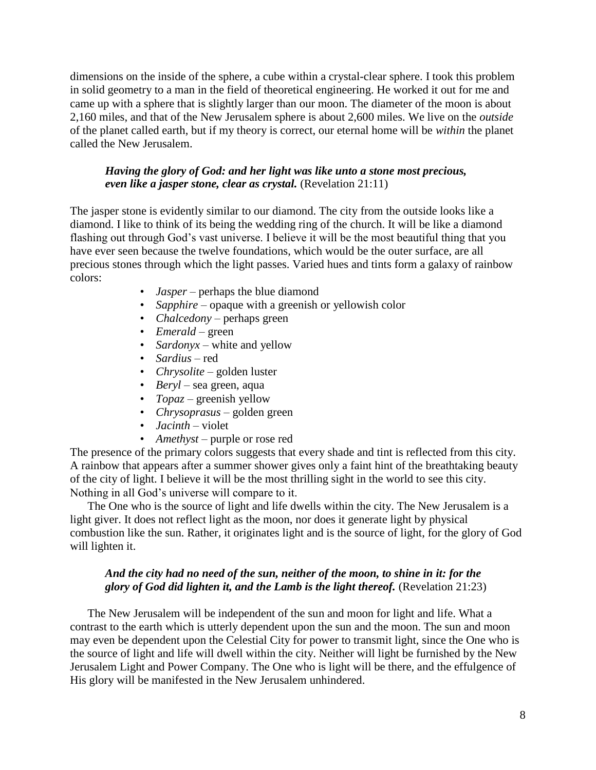dimensions on the inside of the sphere, a cube within a crystal-clear sphere. I took this problem in solid geometry to a man in the field of theoretical engineering. He worked it out for me and came up with a sphere that is slightly larger than our moon. The diameter of the moon is about 2,160 miles, and that of the New Jerusalem sphere is about 2,600 miles. We live on the *outside* of the planet called earth, but if my theory is correct, our eternal home will be *within* the planet called the New Jerusalem.

## *Having the glory of God: and her light was like unto a stone most precious, even like a jasper stone, clear as crystal.* (Revelation 21:11)

The jasper stone is evidently similar to our diamond. The city from the outside looks like a diamond. I like to think of its being the wedding ring of the church. It will be like a diamond flashing out through God"s vast universe. I believe it will be the most beautiful thing that you have ever seen because the twelve foundations, which would be the outer surface, are all precious stones through which the light passes. Varied hues and tints form a galaxy of rainbow colors:

- *Jasper* perhaps the blue diamond
- *Sapphire* opaque with a greenish or yellowish color
- *Chalcedony* perhaps green
- *Emerald* green
- *Sardonyx* white and yellow
- *Sardius* red
- *Chrysolite* golden luster
- *Beryl* sea green, aqua
- *Topaz* greenish yellow
- *Chrysoprasus* golden green
- *Jacinth* violet
- *Amethyst* purple or rose red

The presence of the primary colors suggests that every shade and tint is reflected from this city. A rainbow that appears after a summer shower gives only a faint hint of the breathtaking beauty of the city of light. I believe it will be the most thrilling sight in the world to see this city. Nothing in all God"s universe will compare to it.

The One who is the source of light and life dwells within the city. The New Jerusalem is a light giver. It does not reflect light as the moon, nor does it generate light by physical combustion like the sun. Rather, it originates light and is the source of light, for the glory of God will lighten it.

# *And the city had no need of the sun, neither of the moon, to shine in it: for the glory of God did lighten it, and the Lamb is the light thereof.* (Revelation 21:23)

The New Jerusalem will be independent of the sun and moon for light and life. What a contrast to the earth which is utterly dependent upon the sun and the moon. The sun and moon may even be dependent upon the Celestial City for power to transmit light, since the One who is the source of light and life will dwell within the city. Neither will light be furnished by the New Jerusalem Light and Power Company. The One who is light will be there, and the effulgence of His glory will be manifested in the New Jerusalem unhindered.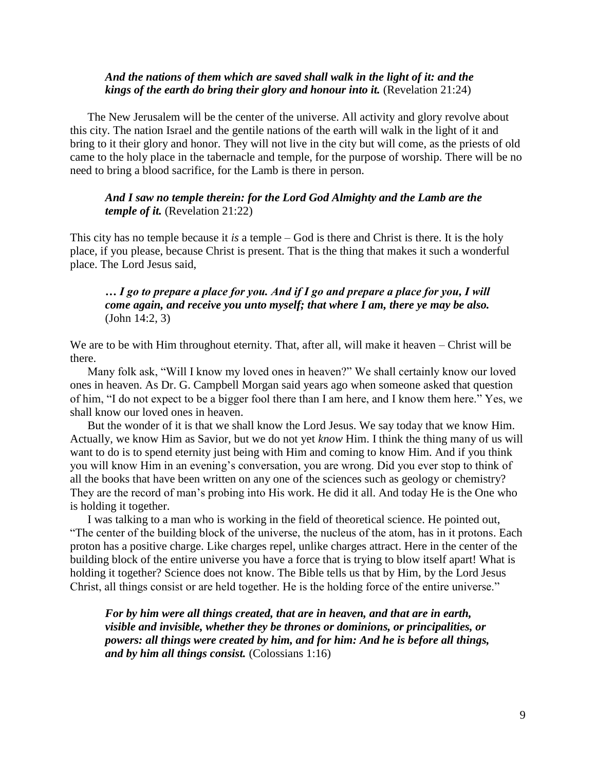## *And the nations of them which are saved shall walk in the light of it: and the kings of the earth do bring their glory and honour into it.* (Revelation 21:24)

The New Jerusalem will be the center of the universe. All activity and glory revolve about this city. The nation Israel and the gentile nations of the earth will walk in the light of it and bring to it their glory and honor. They will not live in the city but will come, as the priests of old came to the holy place in the tabernacle and temple, for the purpose of worship. There will be no need to bring a blood sacrifice, for the Lamb is there in person.

#### *And I saw no temple therein: for the Lord God Almighty and the Lamb are the temple of it.* (Revelation 21:22)

This city has no temple because it *is* a temple – God is there and Christ is there. It is the holy place, if you please, because Christ is present. That is the thing that makes it such a wonderful place. The Lord Jesus said,

# *… I go to prepare a place for you. And if I go and prepare a place for you, I will come again, and receive you unto myself; that where I am, there ye may be also.* (John 14:2, 3)

We are to be with Him throughout eternity. That, after all, will make it heaven – Christ will be there.

Many folk ask, "Will I know my loved ones in heaven?" We shall certainly know our loved ones in heaven. As Dr. G. Campbell Morgan said years ago when someone asked that question of him, "I do not expect to be a bigger fool there than I am here, and I know them here." Yes, we shall know our loved ones in heaven.

But the wonder of it is that we shall know the Lord Jesus. We say today that we know Him. Actually, we know Him as Savior, but we do not yet *know* Him. I think the thing many of us will want to do is to spend eternity just being with Him and coming to know Him. And if you think you will know Him in an evening"s conversation, you are wrong. Did you ever stop to think of all the books that have been written on any one of the sciences such as geology or chemistry? They are the record of man"s probing into His work. He did it all. And today He is the One who is holding it together.

I was talking to a man who is working in the field of theoretical science. He pointed out, "The center of the building block of the universe, the nucleus of the atom, has in it protons. Each proton has a positive charge. Like charges repel, unlike charges attract. Here in the center of the building block of the entire universe you have a force that is trying to blow itself apart! What is holding it together? Science does not know. The Bible tells us that by Him, by the Lord Jesus Christ, all things consist or are held together. He is the holding force of the entire universe."

*For by him were all things created, that are in heaven, and that are in earth, visible and invisible, whether they be thrones or dominions, or principalities, or powers: all things were created by him, and for him: And he is before all things, and by him all things consist.* (Colossians 1:16)